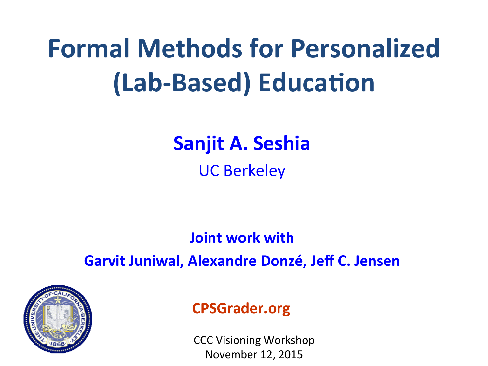# **Formal Methods for Personalized (Lab-Based) Education**

### **Sanjit A. Seshia**

UC Berkeley

#### **Joint work with Garvit Juniwal, Alexandre Donzé, Jeff C. Jensen**



#### **CPSGrader.org**

CCC Visioning Workshop November 12, 2015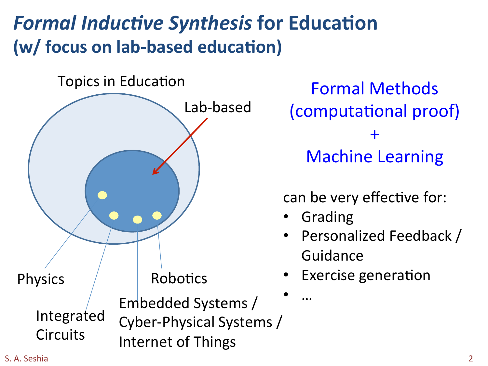## **Formal Inductive Synthesis for Education (w/ focus on lab-based education)**



Formal Methods (computational proof) + **Machine Learning** 

can be very effective for:

**Grading** 

• … 

- Personalized Feedback / Guidance
- Exercise generation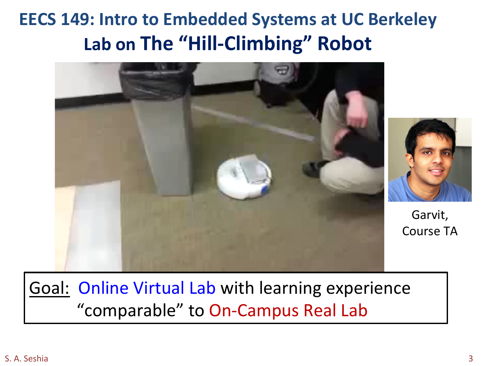## **EECS 149: Intro to Embedded Systems at UC Berkeley** Lab on The "Hill-Climbing" Robot





Garvit, Course TA

#### Goal: Online Virtual Lab with learning experience "comparable" to On-Campus Real Lab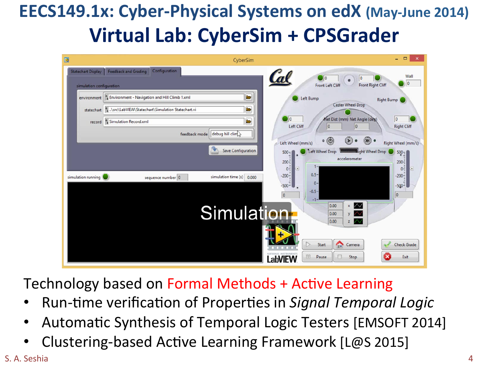## **EECS149.1x: Cyber-Physical Systems on edX (May-June 2014) Virtual Lab: CyberSim + CPSGrader**

| $\Box$                                                | CyberSim                                                                                                                                                                                                                                                                                                                                        | □<br>$\boldsymbol{\mathsf{x}}$<br>٠                                                                                                                                                                                                                                                                                                                                                                                                                |
|-------------------------------------------------------|-------------------------------------------------------------------------------------------------------------------------------------------------------------------------------------------------------------------------------------------------------------------------------------------------------------------------------------------------|----------------------------------------------------------------------------------------------------------------------------------------------------------------------------------------------------------------------------------------------------------------------------------------------------------------------------------------------------------------------------------------------------------------------------------------------------|
| <b>Statechart Display</b><br>simulation configuration | Configuration<br><b>Feedback and Grading</b>                                                                                                                                                                                                                                                                                                    | Wall<br>$\Box$ o<br>10<br>$\bullet$<br>0<br><b>Front Right Cliff</b><br><b>Front Left Cliff</b>                                                                                                                                                                                                                                                                                                                                                    |
| record<br>simulation running                          | $\blacksquare$<br>environment   8 Environment - Navigation and Hill Climb 1.xml<br>$\blacksquare$<br>statechart   8 \src\LabVIEW\Statechart\Simulation Statechart.vi<br>$\blacksquare$<br><sup>8</sup> Simulation Record.xml<br>debug hill clim<br>feedback mode<br><b>Save Configuration</b><br>simulation time (s) 0.000<br>sequence number 0 | Left Bump<br><b>Right Bump</b><br><b>Caster Wheel Drop</b><br>$\log$<br>Net Dist (mm) Net Angle (deg)<br>$ 0\rangle$<br>Left Cliff<br> 0 <br>0<br><b>Right Cliff</b><br>$(D)$ $\bullet$<br>$\circ$<br>۰<br>Œ<br>Left Wheel (mm/s)<br>Right Wheel (mm/s)<br><b>Kight Wheel Drop</b><br>Left Wheel Drop<br>$500 -$<br>$500 - 1$<br>accelerometer<br>$200 -$<br>$200 -$<br>1-<br>$\sqrt{2}$<br>$0 -$<br>σ<br>$0 -$<br>$0.5 -$<br>$-200 -$<br>$-200 -$ |
|                                                       | Simulation <sup>®</sup>                                                                                                                                                                                                                                                                                                                         | $0 -$<br>$-500 - 1$<br>$-500 -$<br>$-0.5-$<br> 0 <br>$\overline{0}$<br>$-1-$<br>0.00<br>$x \mathcal{N}$<br>0.00<br>V<br>0.00<br>v<br><b>Check Grade</b><br>Start<br>⇔<br>Camera<br>m<br>Pause<br>Stop<br>Exit<br>a                                                                                                                                                                                                                                 |

Technology based on Formal Methods + Active Learning

- Run-time verification of Properties in *Signal Temporal Logic*
- Automatic Synthesis of Temporal Logic Testers [EMSOFT 2014]
- Clustering-based Active Learning Framework [L@S 2015]

S. A. Seshia and the set of the set of the set of the set of the set of the set of the set of the set of the set of the set of the set of the set of the set of the set of the set of the set of the set of the set of the set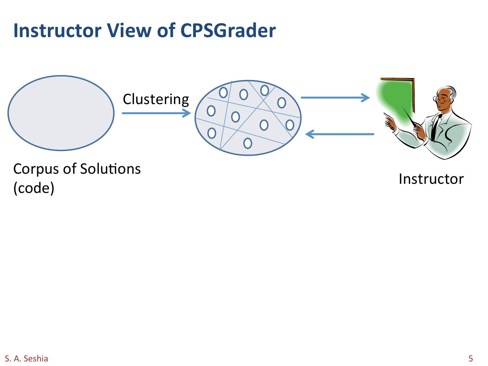## **Instructor View of CPSGrader**



Corpus of Solutions corpas of solutions<br>(code) linstructor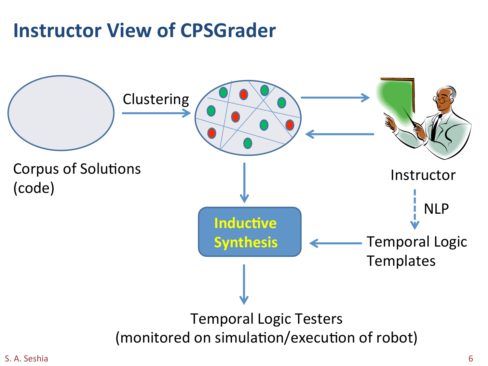## **Instructor View of CPSGrader**

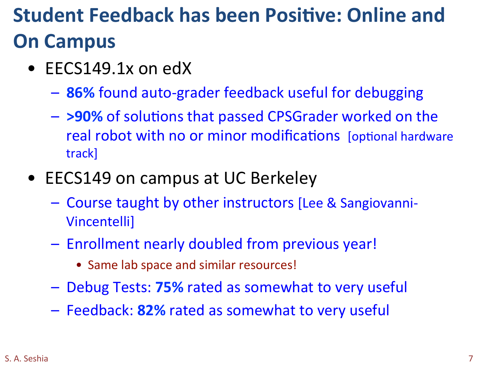## **Student Feedback has been Positive: Online and On Campus**

- EECS149.1 $x$  on edX
	- $-$  86% found auto-grader feedback useful for debugging
	- $-$  >90% of solutions that passed CPSGrader worked on the real robot with no or minor modifications [optional hardware track]
- EECS149 on campus at UC Berkeley
	- Course taught by other instructors [Lee & Sangiovanni-Vincentelli]
	- Enrollment nearly doubled from previous year!
		- Same lab space and similar resources!
	- $-$  Debug Tests: **75%** rated as somewhat to very useful
	- $-$  Feedback: 82% rated as somewhat to very useful